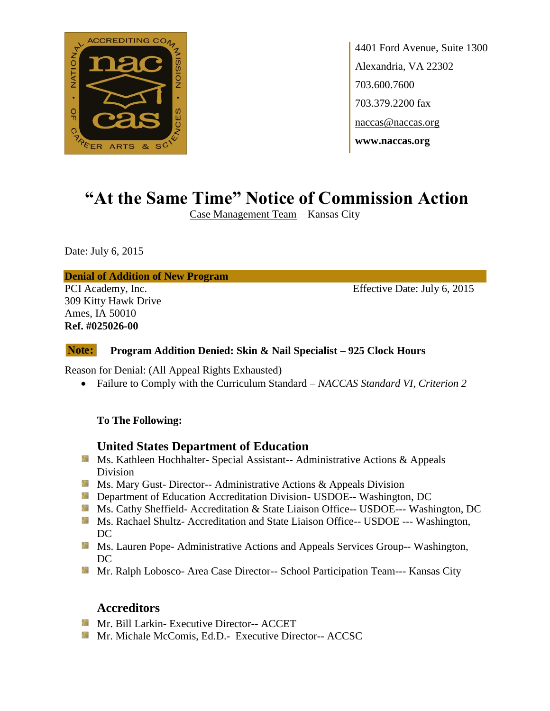

4401 Ford Avenue, Suite 1300 Alexandria, VA 22302 703.600.7600 703.379.2200 fax naccas@naccas.org **www.naccas.org**

# **"At the Same Time" Notice of Commission Action**

Case Management Team – Kansas City

Date: July 6, 2015

#### **Denial of Addition of New Program**

309 Kitty Hawk Drive Ames, IA 50010 **Ref. #025026-00**

PCI Academy, Inc. Effective Date: July 6, 2015

#### **Program Addition Denied: Skin & Nail Specialist – 925 Clock Hours Note:**

Reason for Denial: (All Appeal Rights Exhausted)

Failure to Comply with the Curriculum Standard – *NACCAS Standard VI, Criterion 2*

### **To The Following:**

### **United States Department of Education**

- **Ms. Kathleen Hochhalter- Special Assistant-- Administrative Actions & Appeals** Division
- **Ms.** Mary Gust- Director-- Administrative Actions  $\&$  Appeals Division
- **Department of Education Accreditation Division- USDOE-- Washington, DC**
- Ms. Cathy Sheffield- Accreditation & State Liaison Office-- USDOE--- Washington, DC
- Ms. Rachael Shultz- Accreditation and State Liaison Office-- USDOE --- Washington, DC
- **MS. Lauren Pope- Administrative Actions and Appeals Services Group-- Washington,** DC
- Mr. Ralph Lobosco- Area Case Director-- School Participation Team--- Kansas City

### **Accreditors**

- **Mr. Bill Larkin- Executive Director-- ACCET**
- **Mr. Michale McComis, Ed.D.- Executive Director-- ACCSC**